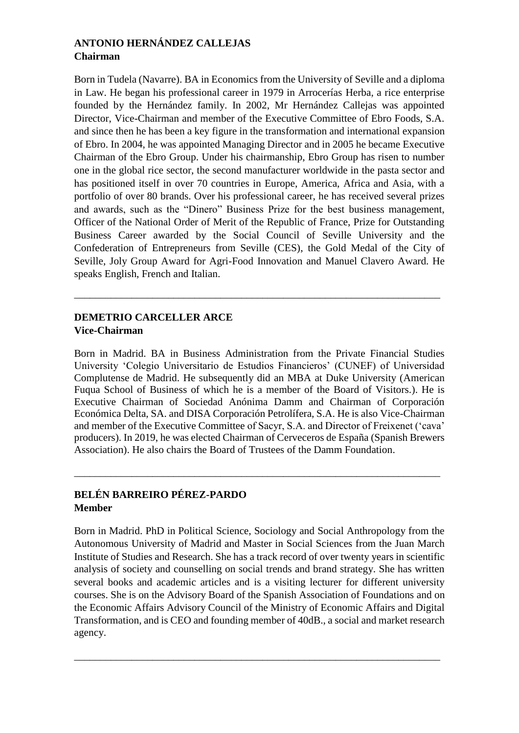### **ANTONIO HERNÁNDEZ CALLEJAS Chairman**

Born in Tudela (Navarre). BA in Economics from the University of Seville and a diploma in Law. He began his professional career in 1979 in Arrocerías Herba, a rice enterprise founded by the Hernández family. In 2002, Mr Hernández Callejas was appointed Director, Vice-Chairman and member of the Executive Committee of Ebro Foods, S.A. and since then he has been a key figure in the transformation and international expansion of Ebro. In 2004, he was appointed Managing Director and in 2005 he became Executive Chairman of the Ebro Group. Under his chairmanship, Ebro Group has risen to number one in the global rice sector, the second manufacturer worldwide in the pasta sector and has positioned itself in over 70 countries in Europe, America, Africa and Asia, with a portfolio of over 80 brands. Over his professional career, he has received several prizes and awards, such as the "Dinero" Business Prize for the best business management, Officer of the National Order of Merit of the Republic of France, Prize for Outstanding Business Career awarded by the Social Council of Seville University and the Confederation of Entrepreneurs from Seville (CES), the Gold Medal of the City of Seville, Joly Group Award for Agri-Food Innovation and Manuel Clavero Award. He speaks English, French and Italian.

#### **DEMETRIO CARCELLER ARCE Vice-Chairman**

Born in Madrid. BA in Business Administration from the Private Financial Studies University 'Colegio Universitario de Estudios Financieros' (CUNEF) of Universidad Complutense de Madrid. He subsequently did an MBA at Duke University (American Fuqua School of Business of which he is a member of the Board of Visitors.). He is Executive Chairman of Sociedad Anónima Damm and Chairman of Corporación Económica Delta, SA. and DISA Corporación Petrolífera, S.A. He is also Vice-Chairman and member of the Executive Committee of Sacyr, S.A. and Director of Freixenet ('cava' producers). In 2019, he was elected Chairman of Cerveceros de España (Spanish Brewers Association). He also chairs the Board of Trustees of the Damm Foundation.

\_\_\_\_\_\_\_\_\_\_\_\_\_\_\_\_\_\_\_\_\_\_\_\_\_\_\_\_\_\_\_\_\_\_\_\_\_\_\_\_\_\_\_\_\_\_\_\_\_\_\_\_\_\_\_\_\_\_\_\_\_\_\_\_\_\_\_\_\_\_

\_\_\_\_\_\_\_\_\_\_\_\_\_\_\_\_\_\_\_\_\_\_\_\_\_\_\_\_\_\_\_\_\_\_\_\_\_\_\_\_\_\_\_\_\_\_\_\_\_\_\_\_\_\_\_\_\_\_\_\_\_\_\_\_\_\_\_\_\_\_

#### **BELÉN BARREIRO PÉREZ-PARDO Member**

Born in Madrid. PhD in Political Science, Sociology and Social Anthropology from the Autonomous University of Madrid and Master in Social Sciences from the Juan March Institute of Studies and Research. She has a track record of over twenty years in scientific analysis of society and counselling on social trends and brand strategy. She has written several books and academic articles and is a visiting lecturer for different university courses. She is on the Advisory Board of the Spanish Association of Foundations and on the Economic Affairs Advisory Council of the Ministry of Economic Affairs and Digital Transformation, and is CEO and founding member of 40dB., a social and market research agency.

\_\_\_\_\_\_\_\_\_\_\_\_\_\_\_\_\_\_\_\_\_\_\_\_\_\_\_\_\_\_\_\_\_\_\_\_\_\_\_\_\_\_\_\_\_\_\_\_\_\_\_\_\_\_\_\_\_\_\_\_\_\_\_\_\_\_\_\_\_\_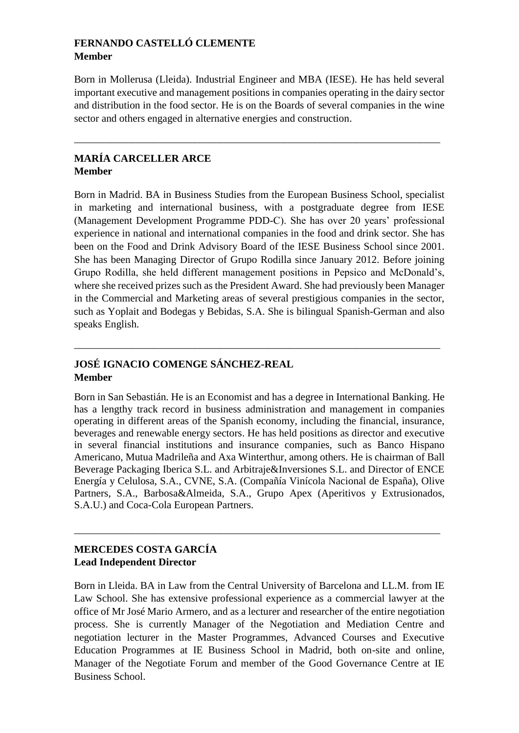#### **FERNANDO CASTELLÓ CLEMENTE Member**

Born in Mollerusa (Lleida). Industrial Engineer and MBA (IESE). He has held several important executive and management positions in companies operating in the dairy sector and distribution in the food sector. He is on the Boards of several companies in the wine sector and others engaged in alternative energies and construction.

\_\_\_\_\_\_\_\_\_\_\_\_\_\_\_\_\_\_\_\_\_\_\_\_\_\_\_\_\_\_\_\_\_\_\_\_\_\_\_\_\_\_\_\_\_\_\_\_\_\_\_\_\_\_\_\_\_\_\_\_\_\_\_\_\_\_\_\_\_\_

### **MARÍA CARCELLER ARCE Member**

Born in Madrid. BA in Business Studies from the European Business School, specialist in marketing and international business, with a postgraduate degree from IESE (Management Development Programme PDD-C). She has over 20 years' professional experience in national and international companies in the food and drink sector. She has been on the Food and Drink Advisory Board of the IESE Business School since 2001. She has been Managing Director of Grupo Rodilla since January 2012. Before joining Grupo Rodilla, she held different management positions in Pepsico and McDonald's, where she received prizes such as the President Award. She had previously been Manager in the Commercial and Marketing areas of several prestigious companies in the sector, such as Yoplait and Bodegas y Bebidas, S.A. She is bilingual Spanish-German and also speaks English.

\_\_\_\_\_\_\_\_\_\_\_\_\_\_\_\_\_\_\_\_\_\_\_\_\_\_\_\_\_\_\_\_\_\_\_\_\_\_\_\_\_\_\_\_\_\_\_\_\_\_\_\_\_\_\_\_\_\_\_\_\_\_\_\_\_\_\_\_\_\_

## **JOSÉ IGNACIO COMENGE SÁNCHEZ-REAL Member**

Born in San Sebastián. He is an Economist and has a degree in International Banking. He has a lengthy track record in business administration and management in companies operating in different areas of the Spanish economy, including the financial, insurance, beverages and renewable energy sectors. He has held positions as director and executive in several financial institutions and insurance companies, such as Banco Hispano Americano, Mutua Madrileña and Axa Winterthur, among others. He is chairman of Ball Beverage Packaging Iberica S.L. and Arbitraje&Inversiones S.L. and Director of ENCE Energía y Celulosa, S.A., CVNE, S.A. (Compañía Vinícola Nacional de España), Olive Partners, S.A., Barbosa&Almeida, S.A., Grupo Apex (Aperitivos y Extrusionados, S.A.U.) and Coca-Cola European Partners.

\_\_\_\_\_\_\_\_\_\_\_\_\_\_\_\_\_\_\_\_\_\_\_\_\_\_\_\_\_\_\_\_\_\_\_\_\_\_\_\_\_\_\_\_\_\_\_\_\_\_\_\_\_\_\_\_\_\_\_\_\_\_\_\_\_\_\_\_\_\_

### **MERCEDES COSTA GARCÍA Lead Independent Director**

Born in Lleida. BA in Law from the Central University of Barcelona and LL.M. from IE Law School. She has extensive professional experience as a commercial lawyer at the office of Mr José Mario Armero, and as a lecturer and researcher of the entire negotiation process. She is currently Manager of the Negotiation and Mediation Centre and negotiation lecturer in the Master Programmes, Advanced Courses and Executive Education Programmes at IE Business School in Madrid, both on-site and online, Manager of the Negotiate Forum and member of the Good Governance Centre at IE Business School.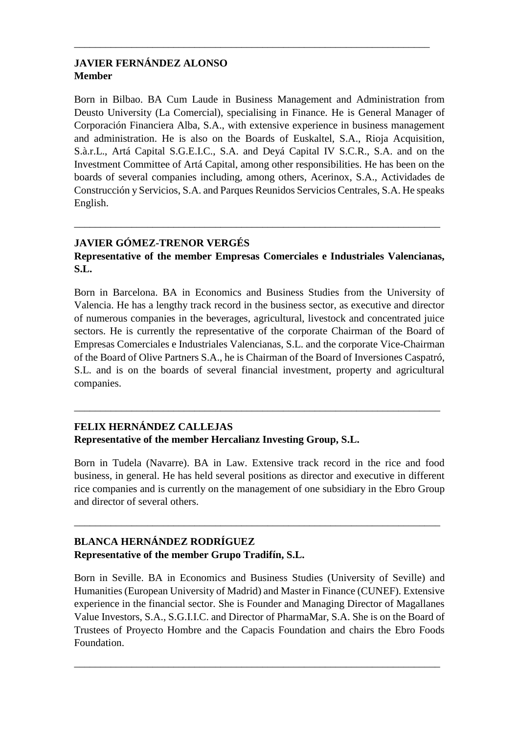# **JAVIER FERNÁNDEZ ALONSO Member**

Born in Bilbao. BA Cum Laude in Business Management and Administration from Deusto University (La Comercial), specialising in Finance. He is General Manager of Corporación Financiera Alba, S.A., with extensive experience in business management and administration. He is also on the Boards of Euskaltel, S.A., Rioja Acquisition, S.à.r.L., Artá Capital S.G.E.I.C., S.A. and Deyá Capital IV S.C.R., S.A. and on the Investment Committee of Artá Capital, among other responsibilities. He has been on the boards of several companies including, among others, Acerinox, S.A., Actividades de Construcción y Servicios, S.A. and Parques Reunidos Servicios Centrales, S.A. He speaks English.

\_\_\_\_\_\_\_\_\_\_\_\_\_\_\_\_\_\_\_\_\_\_\_\_\_\_\_\_\_\_\_\_\_\_\_\_\_\_\_\_\_\_\_\_\_\_\_\_\_\_\_\_\_\_\_\_\_\_\_\_\_\_\_\_\_\_\_\_

## **JAVIER GÓMEZ-TRENOR VERGÉS**

### **Representative of the member Empresas Comerciales e Industriales Valencianas, S.L.**

\_\_\_\_\_\_\_\_\_\_\_\_\_\_\_\_\_\_\_\_\_\_\_\_\_\_\_\_\_\_\_\_\_\_\_\_\_\_\_\_\_\_\_\_\_\_\_\_\_\_\_\_\_\_\_\_\_\_\_\_\_\_\_\_\_\_\_\_\_\_

Born in Barcelona. BA in Economics and Business Studies from the University of Valencia. He has a lengthy track record in the business sector, as executive and director of numerous companies in the beverages, agricultural, livestock and concentrated juice sectors. He is currently the representative of the corporate Chairman of the Board of Empresas Comerciales e Industriales Valencianas, S.L. and the corporate Vice-Chairman of the Board of Olive Partners S.A., he is Chairman of the Board of Inversiones Caspatró, S.L. and is on the boards of several financial investment, property and agricultural companies.

\_\_\_\_\_\_\_\_\_\_\_\_\_\_\_\_\_\_\_\_\_\_\_\_\_\_\_\_\_\_\_\_\_\_\_\_\_\_\_\_\_\_\_\_\_\_\_\_\_\_\_\_\_\_\_\_\_\_\_\_\_\_\_\_\_\_\_\_\_\_

# **FELIX HERNÁNDEZ CALLEJAS Representative of the member Hercalianz Investing Group, S.L.**

Born in Tudela (Navarre). BA in Law. Extensive track record in the rice and food business, in general. He has held several positions as director and executive in different rice companies and is currently on the management of one subsidiary in the Ebro Group and director of several others.

\_\_\_\_\_\_\_\_\_\_\_\_\_\_\_\_\_\_\_\_\_\_\_\_\_\_\_\_\_\_\_\_\_\_\_\_\_\_\_\_\_\_\_\_\_\_\_\_\_\_\_\_\_\_\_\_\_\_\_\_\_\_\_\_\_\_\_\_\_\_

## **BLANCA HERNÁNDEZ RODRÍGUEZ Representative of the member Grupo Tradifín, S.L.**

Born in Seville. BA in Economics and Business Studies (University of Seville) and Humanities (European University of Madrid) and Master in Finance (CUNEF). Extensive experience in the financial sector. She is Founder and Managing Director of Magallanes Value Investors, S.A., S.G.I.I.C. and Director of PharmaMar, S.A. She is on the Board of Trustees of Proyecto Hombre and the Capacis Foundation and chairs the Ebro Foods Foundation.

\_\_\_\_\_\_\_\_\_\_\_\_\_\_\_\_\_\_\_\_\_\_\_\_\_\_\_\_\_\_\_\_\_\_\_\_\_\_\_\_\_\_\_\_\_\_\_\_\_\_\_\_\_\_\_\_\_\_\_\_\_\_\_\_\_\_\_\_\_\_